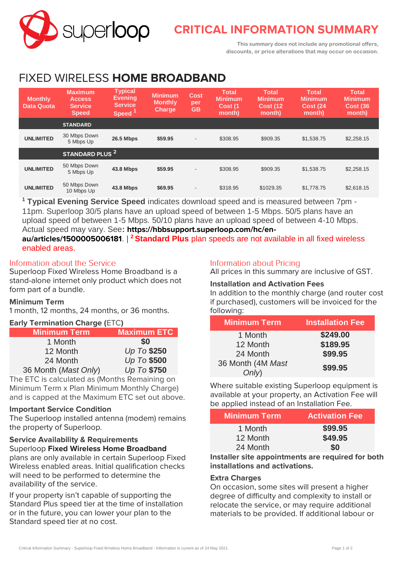

# **CRITICAL INFORMATION SUMMARY**

**This summary does not include any promotional offers, discounts, or price alterations that may occur on occasion.**

# FIXED WIRELESS **HOME BROADBAND**

| <b>Monthly</b><br><b>Data Quota</b> | <b>Maximum</b><br><b>Access</b><br><b>Service</b><br><b>Speed</b> | <b>Typical</b><br><b>Evening</b><br><b>Service</b><br>Speed <sup>1</sup> | <b>Minimum</b><br><b>Monthly</b><br><b>Charge</b> | <b>Cost</b><br>per<br>GB | <b>Total</b><br><b>Minimum</b><br>Cost (1<br>month) | <b>Total</b><br><b>Minimum</b><br><b>Cost (12)</b><br>month) | <b>Total</b><br>Minimum<br><b>Cost (24)</b><br>month) | <b>Total</b><br><b>Minimum</b><br><b>Cost (36)</b><br>month) |
|-------------------------------------|-------------------------------------------------------------------|--------------------------------------------------------------------------|---------------------------------------------------|--------------------------|-----------------------------------------------------|--------------------------------------------------------------|-------------------------------------------------------|--------------------------------------------------------------|
|                                     | <b>STANDARD</b>                                                   |                                                                          |                                                   |                          |                                                     |                                                              |                                                       |                                                              |
| <b>UNLIMITED</b>                    | 30 Mbps Down<br>5 Mbps Up                                         | <b>26.5 Mbps</b>                                                         | \$59.95                                           | $\overline{\phantom{a}}$ | \$308.95                                            | \$909.35                                                     | \$1,538.75                                            | \$2,258.15                                                   |
|                                     | STANDARD PLUS <sup>2</sup>                                        |                                                                          |                                                   |                          |                                                     |                                                              |                                                       |                                                              |
| <b>UNLIMITED</b>                    | 50 Mbps Down<br>5 Mbps Up                                         | 43.8 Mbps                                                                | \$59.95                                           | $\overline{\phantom{a}}$ | \$308.95                                            | \$909.35                                                     | \$1,538.75                                            | \$2,258.15                                                   |
| <b>UNLIMITED</b>                    | 50 Mbps Down<br>10 Mbps Up                                        | <b>43.8 Mbps</b>                                                         | \$69.95                                           | $\overline{\phantom{a}}$ | \$318.95                                            | \$1029.35                                                    | \$1,778.75                                            | \$2,618.15                                                   |

**<sup>1</sup> Typical Evening Service Speed** indicates download speed and is measured between 7pm - 11pm. Superloop 30/5 plans have an upload speed of between 1-5 Mbps. 50/5 plans have an upload speed of between 1-5 Mbps. 50/10 plans have an upload speed of between 4-10 Mbps. Actual speed may vary. See**: https://hbbsupport.superloop.com/hc/enau/articles/1500005006181**. | **<sup>2</sup>Standard Plus** plan speeds are not available in all fixed wireless enabled areas.

#### Information about the Service

Superloop Fixed Wireless Home Broadband is a stand-alone internet only product which does not form part of a bundle.

#### **Minimum Term**

1 month, 12 months, 24 months, or 36 months.

#### **Early Termination Charge (**ETC**)**

| <b>Minimum Term</b>  | <b>Maximum ETC</b> |
|----------------------|--------------------|
| 1 Month              | <b>SO</b>          |
| 12 Month             | Up To \$250        |
| 24 Month             | Up To \$500        |
| 36 Month (Mast Only) | Up To \$750        |

The ETC is calculated as (Months Remaining on Minimum Term x Plan Minimum Monthly Charge) and is capped at the Maximum ETC set out above.

#### **Important Service Condition**

The Superloop installed antenna (modem) remains the property of Superloop.

#### **Service Availability & Requirements** Superloop **Fixed Wireless Home Broadband**

plans are only available in certain Superloop Fixed Wireless enabled areas. Initial qualification checks will need to be performed to determine the availability of the service.

If your property isn't capable of supporting the Standard Plus speed tier at the time of installation or in the future, you can lower your plan to the Standard speed tier at no cost.

#### Information about Pricing

All prices in this summary are inclusive of GST.

# **Installation and Activation Fees**

In addition to the monthly charge (and router cost if purchased), customers will be invoiced for the following:

| <b>Minimum Term</b> | <b>Installation Fee</b> |  |  |
|---------------------|-------------------------|--|--|
| 1 Month             | \$249.00                |  |  |
| 12 Month            | \$189.95                |  |  |
| 24 Month            | \$99.95                 |  |  |
| 36 Month (4M Mast   | \$99.95                 |  |  |
| Only)               |                         |  |  |

Where suitable existing Superloop equipment is available at your property, an Activation Fee will be applied instead of an Installation Fee.

| Minimum Term. | <b>Activation Fee</b> |
|---------------|-----------------------|
| 1 Month       | \$99.95               |
| 12 Month      | \$49.95               |
| 24 Month      | \$0                   |

**Installer site appointments are required for both installations and activations.**

#### **Extra Charges**

On occasion, some sites will present a higher degree of difficulty and complexity to install or relocate the service, or may require additional materials to be provided. If additional labour or